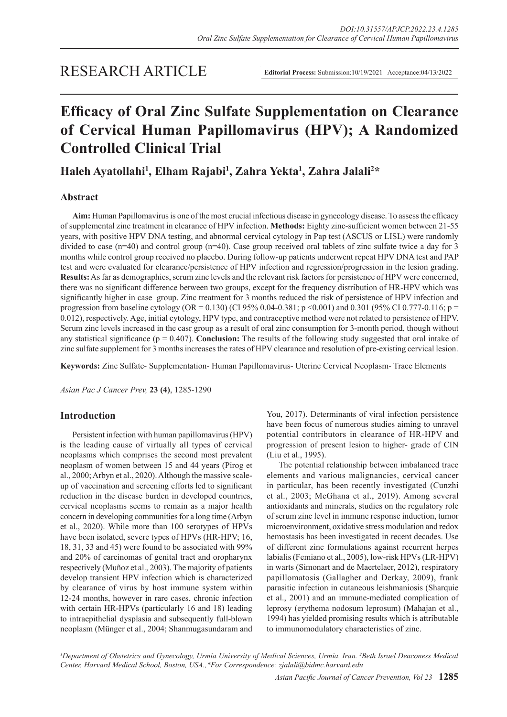## RESEARCH ARTICLE

**Editorial Process:** Submission:10/19/2021 Acceptance:04/13/2022

# **Efficacy of Oral Zinc Sulfate Supplementation on Clearance of Cervical Human Papillomavirus (HPV); A Randomized Controlled Clinical Trial**

**Haleh Ayatollahi1 , Elham Rajabi1 , Zahra Yekta<sup>1</sup> , Zahra Jalali<sup>2</sup> \***

## **Abstract**

**Aim:** Human Papillomavirus is one of the most crucial infectious disease in gynecology disease. To assess the efficacy of supplemental zinc treatment in clearance of HPV infection. **Methods:** Eighty zinc-sufficient women between 21-55 years, with positive HPV DNA testing, and abnormal cervical cytology in Pap test (ASCUS or LISL) were randomly divided to case (n=40) and control group (n=40). Case group received oral tablets of zinc sulfate twice a day for 3 months while control group received no placebo. During follow-up patients underwent repeat HPV DNA test and PAP test and were evaluated for clearance/persistence of HPV infection and regression/progression in the lesion grading. **Results:** As far as demographics, serum zinc levels and the relevant risk factors for persistence of HPV were concerned, there was no significant difference between two groups, except for the frequency distribution of HR-HPV which was significantly higher in case group. Zinc treatment for 3 months reduced the risk of persistence of HPV infection and progression from baseline cytology (OR = 0.130) (CI 95% 0.04-0.381; p <0.001) and 0.301 (95% CI 0.777-0.116; p = 0.012), respectively. Age, initial cytology, HPV type, and contraceptive method were not related to persistence of HPV. Serum zinc levels increased in the casr group as a result of oral zinc consumption for 3-month period, though without any statistical significance ( $p = 0.407$ ). **Conclusion:** The results of the following study suggested that oral intake of zinc sulfate supplement for 3 months increases the rates of HPV clearance and resolution of pre-existing cervical lesion.

**Keywords:** Zinc Sulfate- Supplementation- Human Papillomavirus- Uterine Cervical Neoplasm- Trace Elements

*Asian Pac J Cancer Prev,* **23 (4)**, 1285-1290

## **Introduction**

Persistent infection with human papillomavirus (HPV) is the leading cause of virtually all types of cervical neoplasms which comprises the second most prevalent neoplasm of women between 15 and 44 years (Pirog et al., 2000; Arbyn et al., 2020). Although the massive scaleup of vaccination and screening efforts led to significant reduction in the disease burden in developed countries, cervical neoplasms seems to remain as a major health concern in developing communities for a long time (Arbyn et al., 2020). While more than 100 serotypes of HPVs have been isolated, severe types of HPVs (HR-HPV; 16, 18, 31, 33 and 45) were found to be associated with 99% and 20% of carcinomas of genital tract and oropharynx respectively (Muñoz et al., 2003). The majority of patients develop transient HPV infection which is characterized by clearance of virus by host immune system within 12-24 months, however in rare cases, chronic infection with certain HR-HPVs (particularly 16 and 18) leading to intraepithelial dysplasia and subsequently full-blown neoplasm (Münger et al., 2004; Shanmugasundaram and You, 2017). Determinants of viral infection persistence have been focus of numerous studies aiming to unravel potential contributors in clearance of HR-HPV and progression of present lesion to higher- grade of CIN (Liu et al., 1995).

The potential relationship between imbalanced trace elements and various malignancies, cervical cancer in particular, has been recently investigated (Cunzhi et al., 2003; MeGhana et al., 2019). Among several antioxidants and minerals, studies on the regulatory role of serum zinc level in immune response induction, tumor microenvironment, oxidative stress modulation and redox hemostasis has been investigated in recent decades. Use of different zinc formulations against recurrent herpes labialis (Femiano et al., 2005), low-risk HPVs (LR-HPV) in warts (Simonart and de Maertelaer, 2012), respiratory papillomatosis (Gallagher and Derkay, 2009), frank parasitic infection in cutaneous leishmaniosis (Sharquie et al., 2001) and an immune-mediated complication of leprosy (erythema nodosum leprosum) (Mahajan et al., 1994) has yielded promising results which is attributable to immunomodulatory characteristics of zinc.

*1 Department of Obstetrics and Gynecology, Urmia University of Medical Sciences, Urmia, Iran. 2 Beth Israel Deaconess Medical Center, Harvard Medical School, Boston, USA.,\*For Correspondence: zjalali@bidmc.harvard.edu*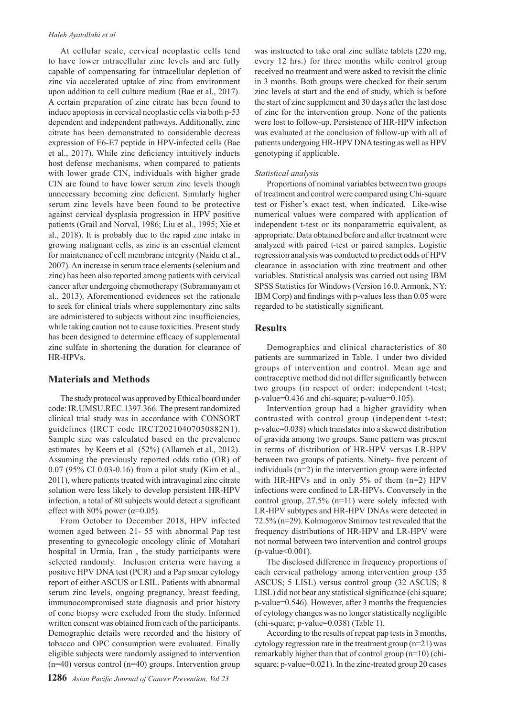#### *Haleh Ayatollahi et al*

At cellular scale, cervical neoplastic cells tend to have lower intracellular zinc levels and are fully capable of compensating for intracellular depletion of zinc via accelerated uptake of zinc from environment upon addition to cell culture medium (Bae et al., 2017). A certain preparation of zinc citrate has been found to induce apoptosis in cervical neoplastic cells via both p-53 dependent and independent pathways. Additionally, zinc citrate has been demonstrated to considerable decreas expression of E6-E7 peptide in HPV-infected cells (Bae et al., 2017). While zinc deficiency intuitively inducts host defense mechanisms, when compared to patients with lower grade CIN, individuals with higher grade CIN are found to have lower serum zinc levels though unnecessary becoming zinc deficient. Similarly higher serum zinc levels have been found to be protective against cervical dysplasia progression in HPV positive patients (Grail and Norval, 1986; Liu et al., 1995; Xie et al., 2018). It is probably due to the rapid zinc intake in growing malignant cells, as zinc is an essential element for maintenance of cell membrane integrity (Naidu et al., 2007). An increase in serum trace elements (selenium and zinc) has been also reported among patients with cervical cancer after undergoing chemotherapy (Subramanyam et al., 2013). Aforementioned evidences set the rationale to seek for clinical trials where supplementary zinc salts are administered to subjects without zinc insufficiencies, while taking caution not to cause toxicities. Present study has been designed to determine efficacy of supplemental zinc sulfate in shortening the duration for clearance of HR-HPVs.

## **Materials and Methods**

The study protocol was approved by Ethical board under code: IR.UMSU.REC.1397.366. The present randomized clinical trial study was in accordance with CONSORT guidelines (IRCT code IRCT20210407050882N1). Sample size was calculated based on the prevalence estimates by Keem et al (52%) (Allameh et al., 2012). Assuming the previously reported odds ratio (OR) of 0.07 (95% CI 0.03-0.16) from a pilot study (Kim et al., 2011), where patients treated with intravaginal zinc citrate solution were less likely to develop persistent HR-HPV infection, a total of 80 subjects would detect a significant effect with 80% power ( $\alpha$ =0.05).

From October to December 2018, HPV infected women aged between 21- 55 with abnormal Pap test presenting to gynecologic oncology clinic of Motahari hospital in Urmia, Iran , the study participants were selected randomly. Inclusion criteria were having a positive HPV DNA test (PCR) and a Pap smear cytology report of either ASCUS or LSIL. Patients with abnormal serum zinc levels, ongoing pregnancy, breast feeding, immunocompromised state diagnosis and prior history of cone biopsy were excluded from the study. Informed written consent was obtained from each of the participants. Demographic details were recorded and the history of tobacco and OPC consumption were evaluated. Finally eligible subjects were randomly assigned to intervention  $(n=40)$  versus control  $(n=40)$  groups. Intervention group

was instructed to take oral zinc sulfate tablets (220 mg, every 12 hrs.) for three months while control group received no treatment and were asked to revisit the clinic in 3 months. Both groups were checked for their serum zinc levels at start and the end of study, which is before the start of zinc supplement and 30 days after the last dose of zinc for the intervention group. None of the patients were lost to follow-up. Persistence of HR-HPV infection was evaluated at the conclusion of follow-up with all of patients undergoing HR-HPV DNA testing as well as HPV genotyping if applicable.

#### *Statistical analysis*

Proportions of nominal variables between two groups of treatment and control were compared using Chi-square test or Fisher's exact test, when indicated. Like-wise numerical values were compared with application of independent t-test or its nonparametric equivalent, as appropriate. Data obtained before and after treatment were analyzed with paired t-test or paired samples. Logistic regression analysis was conducted to predict odds of HPV clearance in association with zinc treatment and other variables. Statistical analysis was carried out using IBM SPSS Statistics for Windows (Version 16.0. Armonk, NY: IBM Corp) and findings with p-values less than 0.05 were regarded to be statistically significant.

#### **Results**

Demographics and clinical characteristics of 80 patients are summarized in Table. 1 under two divided groups of intervention and control. Mean age and contraceptive method did not differ significantly between two groups (in respect of order: independent t-test; p-value=0.436 and chi-square; p-value=0.105).

Intervention group had a higher gravidity when contrasted with control group (independent t-test; p-value=0.038) which translates into a skewed distribution of gravida among two groups. Same pattern was present in terms of distribution of HR-HPV versus LR-HPV between two groups of patients. Ninety- five percent of individuals (n=2) in the intervention group were infected with HR-HPVs and in only 5% of them (n=2) HPV infections were confined to LR-HPVs. Conversely in the control group, 27.5% (n=11) were solely infected with LR-HPV subtypes and HR-HPV DNAs were detected in 72.5% (n=29). Kolmogorov Smirnov test revealed that the frequency distributions of HR-HPV and LR-HPV were not normal between two intervention and control groups  $(p-value<0.001)$ .

The disclosed difference in frequency proportions of each cervical pathology among intervention group (35 ASCUS; 5 LISL) versus control group (32 ASCUS; 8 LISL) did not bear any statistical significance (chi square; p-value=0.546). However, after 3 months the frequencies of cytology changes was no longer statistically negligible (chi-square; p-value=0.038) (Table 1).

According to the results of repeat pap tests in 3 months, cytology regression rate in the treatment group  $(n=21)$  was remarkably higher than that of control group (n=10) (chisquare; p-value=0.021). In the zinc-treated group 20 cases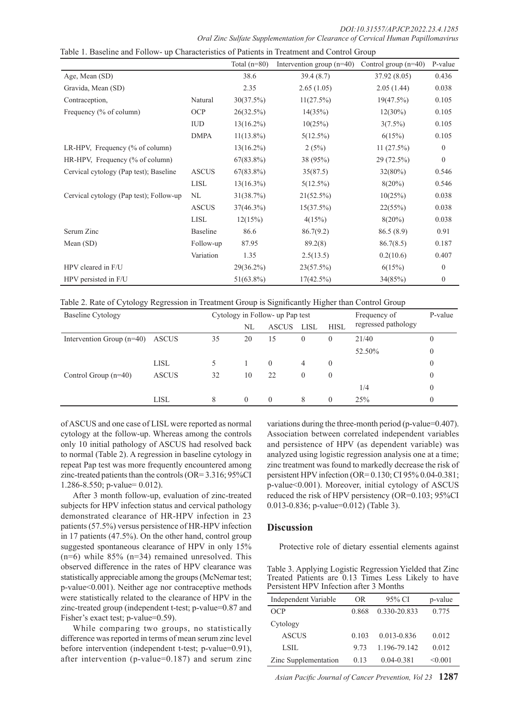*DOI:10.31557/APJCP.2022.23.4.1285 Oral Zinc Sulfate Supplementation for Clearance of Cervical Human Papillomavirus*

|                                         |                 | Total $(n=80)$ | Intervention group $(n=40)$ | Control group $(n=40)$ | P-value          |
|-----------------------------------------|-----------------|----------------|-----------------------------|------------------------|------------------|
| Age, Mean (SD)                          |                 | 38.6           | 39.4(8.7)                   | 37.92(8.05)            | 0.436            |
| Gravida, Mean (SD)                      |                 | 2.35           | 2.65(1.05)                  | 2.05(1.44)             | 0.038            |
| Contraception,                          | Natural         | 30(37.5%)      | 11(27.5%)                   | 19(47.5%)              | 0.105            |
| Frequency (% of column)                 | <b>OCP</b>      | 26(32.5%)      | 14(35%)                     | $12(30\%)$             | 0.105            |
|                                         | <b>IUD</b>      | $13(16.2\%)$   | 10(25%)                     | $3(7.5\%)$             | 0.105            |
|                                         | <b>DMPA</b>     | $11(13.8\%)$   | $5(12.5\%)$                 | 6(15%)                 | 0.105            |
| LR-HPV, Frequency (% of column)         |                 | $13(16.2\%)$   | 2(5%)                       | 11(27.5%)              | $\boldsymbol{0}$ |
| HR-HPV, Frequency (% of column)         |                 | $67(83.8\%)$   | 38(95%)                     | 29 (72.5%)             | $\boldsymbol{0}$ |
| Cervical cytology (Pap test); Baseline  | <b>ASCUS</b>    | $67(83.8\%)$   | 35(87.5)                    | $32(80\%)$             | 0.546            |
|                                         | LISL            | $13(16.3\%)$   | $5(12.5\%)$                 | $8(20\%)$              | 0.546            |
| Cervical cytology (Pap test); Follow-up | NL              | 31(38.7%)      | $21(52.5\%)$                | 10(25%)                | 0.038            |
|                                         | <b>ASCUS</b>    | $37(46.3\%)$   | 15(37.5%)                   | 22(55%)                | 0.038            |
|                                         | LISL            | 12(15%)        | 4(15%)                      | $8(20\%)$              | 0.038            |
| Serum Zinc                              | <b>Baseline</b> | 86.6           | 86.7(9.2)                   | 86.5(8.9)              | 0.91             |
| Mean $(SD)$                             | Follow-up       | 87.95          | 89.2(8)                     | 86.7(8.5)              | 0.187            |
|                                         | Variation       | 1.35           | 2.5(13.5)                   | 0.2(10.6)              | 0.407            |
| HPV cleared in F/U                      |                 | 29(36.2%)      | 23(57.5%)                   | 6(15%)                 | $\mathbf{0}$     |
| HPV persisted in F/U                    |                 | $51(63.8\%)$   | $17(42.5\%)$                | 34(85%)                | 0                |

Table 1. Baseline and Follow- up Characteristics of Patients in Treatment and Control Group

Table 2. Rate of Cytology Regression in Treatment Group is Significantly Higher than Control Group

| Baseline Cytology           |              | Cytology in Follow- up Pap test |          |              | Frequency of | P-value     |                     |                |
|-----------------------------|--------------|---------------------------------|----------|--------------|--------------|-------------|---------------------|----------------|
|                             |              |                                 | NL       | <b>ASCUS</b> | LISL         | <b>HISL</b> | regressed pathology |                |
| Intervention Group $(n=40)$ | <b>ASCUS</b> | 35                              | 20       | 15           | $\theta$     | $\theta$    | 21/40               |                |
|                             |              |                                 |          |              |              |             | 52.50%              | $\theta$       |
|                             | <b>LISL</b>  |                                 |          | $\theta$     | 4            | $\theta$    |                     |                |
| Control Group $(n=40)$      | <b>ASCUS</b> | 32                              | 10       | 22           | $\theta$     | $\theta$    |                     |                |
|                             |              |                                 |          |              |              |             | 1/4                 | $\overline{0}$ |
|                             | LISL         | 8                               | $\Omega$ | $\Omega$     | 8            | $\Omega$    | 25%                 |                |

of ASCUS and one case of LISL were reported as normal cytology at the follow-up. Whereas among the controls only 10 initial pathology of ASCUS had resolved back to normal (Table 2). A regression in baseline cytology in repeat Pap test was more frequently encountered among zinc-treated patients than the controls (OR= 3.316; 95%CI 1.286-8.550; p-value= 0.012).

After 3 month follow-up, evaluation of zinc-treated subjects for HPV infection status and cervical pathology demonstrated clearance of HR-HPV infection in 23 patients (57.5%) versus persistence of HR-HPV infection in 17 patients (47.5%). On the other hand, control group suggested spontaneous clearance of HPV in only 15%  $(n=6)$  while 85%  $(n=34)$  remained unresolved. This observed difference in the rates of HPV clearance was statistically appreciable among the groups (McNemar test; p-value<0.001). Neither age nor contraceptive methods were statistically related to the clearance of HPV in the zinc-treated group (independent t-test; p-value=0.87 and Fisher's exact test; p-value=0.59).

While comparing two groups, no statistically difference was reported in terms of mean serum zinc level before intervention (independent t-test; p-value=0.91), after intervention (p-value=0.187) and serum zinc variations during the three-month period (p-value=0.407). Association between correlated independent variables and persistence of HPV (as dependent variable) was analyzed using logistic regression analysis one at a time; zinc treatment was found to markedly decrease the risk of persistent HPV infection (OR= 0.130; CI 95% 0.04-0.381; p-value<0.001). Moreover, initial cytology of ASCUS reduced the risk of HPV persistency (OR=0.103; 95%CI 0.013-0.836; p-value=0.012) (Table 3).

## **Discussion**

Protective role of dietary essential elements against

Table 3. Applying Logistic Regression Yielded that Zinc Treated Patients are 0.13 Times Less Likely to have Persistent HPV Infection after 3 Months

| Independent Variable | OR    | 95% CI         | p-value      |
|----------------------|-------|----------------|--------------|
| <b>OCP</b>           | 0.868 | 0.330-20.833   | 0.775        |
| Cytology             |       |                |              |
| <b>ASCUS</b>         | 0.103 | 0 013-0 836    | 0.012        |
| LSIL                 | 9.73  | 1.196-79.142   | 0.012        |
| Zinc Supplementation | 0.13  | $0.04 - 0.381$ | $\leq 0.001$ |

*Asian Pacific Journal of Cancer Prevention, Vol 23* **1287**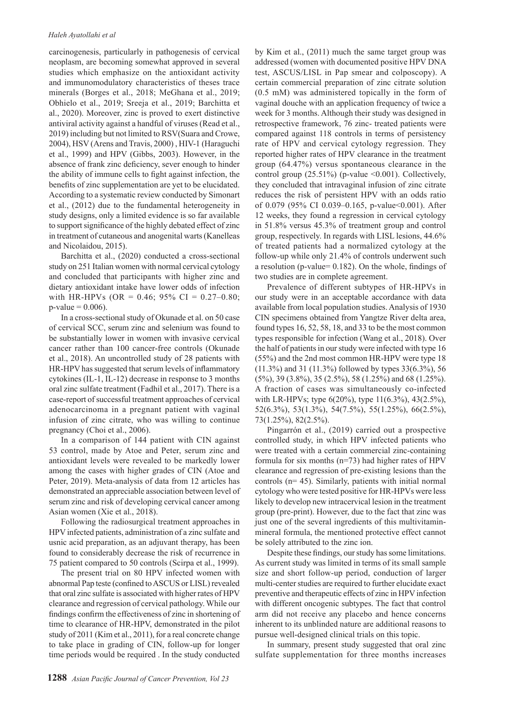carcinogenesis, particularly in pathogenesis of cervical neoplasm, are becoming somewhat approved in several studies which emphasize on the antioxidant activity and immunomodulatory characteristics of theses trace minerals (Borges et al., 2018; MeGhana et al., 2019; Obhielo et al., 2019; Sreeja et al., 2019; Barchitta et al., 2020). Moreover, zinc is proved to exert distinctive antiviral activity against a handful of viruses (Read et al., 2019) including but not limited to RSV(Suara and Crowe, 2004), HSV (Arens and Travis, 2000) , HIV-1 (Haraguchi et al., 1999) and HPV (Gibbs, 2003). However, in the absence of frank zinc deficiency, sever enough to hinder the ability of immune cells to fight against infection, the benefits of zinc supplementation are yet to be elucidated. According to a systematic review conducted by Simonart et al., (2012) due to the fundamental heterogeneity in study designs, only a limited evidence is so far available to support significance of the highly debated effect of zinc in treatment of cutaneous and anogenital warts (Kanelleas and Nicolaidou, 2015).

Barchitta et al., (2020) conducted a cross-sectional study on 251 Italian women with normal cervical cytology and concluded that participants with higher zinc and dietary antioxidant intake have lower odds of infection with HR-HPVs (OR =  $0.46$ ; 95% CI =  $0.27-0.80$ ;  $p$ -value = 0.006).

In a cross-sectional study of Okunade et al. on 50 case of cervical SCC, serum zinc and selenium was found to be substantially lower in women with invasive cervical cancer rather than 100 cancer-free controls (Okunade et al., 2018). An uncontrolled study of 28 patients with HR-HPV has suggested that serum levels of inflammatory cytokines (IL-1, IL-12) decrease in response to 3 months oral zinc sulfate treatment (Fadhil et al., 2017). There is a case-report of successful treatment approaches of cervical adenocarcinoma in a pregnant patient with vaginal infusion of zinc citrate, who was willing to continue pregnancy (Choi et al., 2006).

In a comparison of 144 patient with CIN against 53 control, made by Atoe and Peter, serum zinc and antioxidant levels were revealed to be markedly lower among the cases with higher grades of CIN (Atoe and Peter, 2019). Meta-analysis of data from 12 articles has demonstrated an appreciable association between level of serum zinc and risk of developing cervical cancer among Asian women (Xie et al., 2018).

Following the radiosurgical treatment approaches in HPV infected patients, administration of a zinc sulfate and usnic acid preparation, as an adjuvant therapy, has been found to considerably decrease the risk of recurrence in 75 patient compared to 50 controls (Scirpa et al., 1999).

The present trial on 80 HPV infected women with abnormal Pap teste (confined to ASCUS or LISL) revealed that oral zinc sulfate is associated with higher rates of HPV clearance and regression of cervical pathology. While our findings confirm the effectiveness of zinc in shortening of time to clearance of HR-HPV, demonstrated in the pilot study of 2011 (Kim et al., 2011), for a real concrete change to take place in grading of CIN, follow-up for longer time periods would be required . In the study conducted by Kim et al., (2011) much the same target group was addressed (women with documented positive HPV DNA test, ASCUS/LISL in Pap smear and colposcopy). A certain commercial preparation of zinc citrate solution (0.5 mM) was administered topically in the form of vaginal douche with an application frequency of twice a week for 3 months. Although their study was designed in retrospective framework, 76 zinc- treated patients were compared against 118 controls in terms of persistency rate of HPV and cervical cytology regression. They reported higher rates of HPV clearance in the treatment group (64.47%) versus spontaneous clearance in the control group  $(25.51\%)$  (p-value <0.001). Collectively, they concluded that intravaginal infusion of zinc citrate reduces the risk of persistent HPV with an odds ratio of 0.079 (95% CI 0.039–0.165, p-value<0.001). After 12 weeks, they found a regression in cervical cytology in 51.8% versus 45.3% of treatment group and control group, respectively. In regards with LISL lesions, 44.6% of treated patients had a normalized cytology at the follow-up while only 21.4% of controls underwent such a resolution (p-value= 0.182). On the whole, findings of two studies are in complete agreement.

Prevalence of different subtypes of HR-HPVs in our study were in an acceptable accordance with data available from local population studies. Analysis of 1930 CIN specimens obtained from Yangtze River delta area, found types 16, 52, 58, 18, and 33 to be the most common types responsible for infection (Wang et al., 2018). Over the half of patients in our study were infected with type 16 (55%) and the 2nd most common HR-HPV were type 18 (11.3%) and 31 (11.3%) followed by types 33(6.3%), 56 (5%), 39 (3.8%), 35 (2.5%), 58 (1.25%) and 68 (1.25%). A fraction of cases was simultaneously co-infected with LR-HPVs; type 6(20%), type 11(6.3%), 43(2.5%), 52(6.3%), 53(1.3%), 54(7.5%), 55(1.25%), 66(2.5%), 73(1.25%), 82(2.5%).

Pingarrón et al., (2019) carried out a prospective controlled study, in which HPV infected patients who were treated with a certain commercial zinc-containing formula for six months (n=73) had higher rates of HPV clearance and regression of pre-existing lesions than the controls (n= 45). Similarly, patients with initial normal cytology who were tested positive for HR-HPVs were less likely to develop new intracervical lesion in the treatment group (pre-print). However, due to the fact that zinc was just one of the several ingredients of this multivitaminmineral formula, the mentioned protective effect cannot be solely attributed to the zinc ion.

Despite these findings, our study has some limitations. As current study was limited in terms of its small sample size and short follow-up period, conduction of larger multi-center studies are required to further elucidate exact preventive and therapeutic effects of zinc in HPV infection with different oncogenic subtypes. The fact that control arm did not receive any placebo and hence concerns inherent to its unblinded nature are additional reasons to pursue well-designed clinical trials on this topic.

In summary, present study suggested that oral zinc sulfate supplementation for three months increases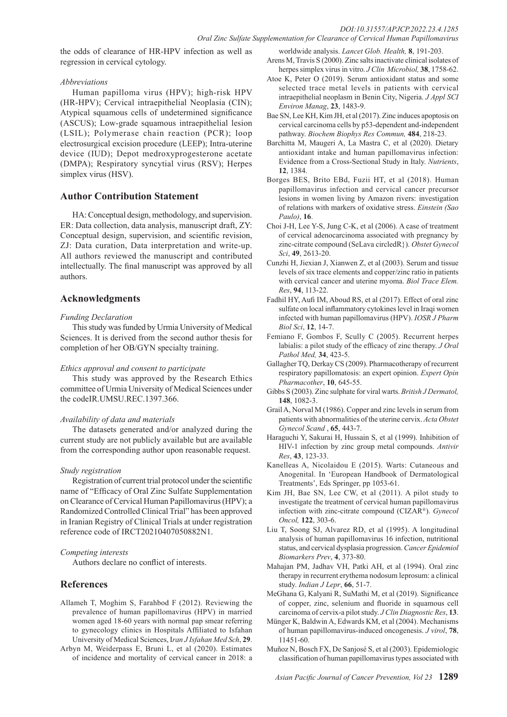the odds of clearance of HR-HPV infection as well as regression in cervical cytology.

## *Abbreviations*

Human papilloma virus (HPV); high-risk HPV (HR-HPV); Cervical intraepithelial Neoplasia (CIN); Atypical squamous cells of undetermined significance (ASCUS); Low-grade squamous intraepithelial lesion (LSIL); Polymerase chain reaction (PCR); loop electrosurgical excision procedure (LEEP); Intra-uterine device (IUD); Depot medroxyprogesterone acetate (DMPA); Respiratory syncytial virus (RSV); Herpes simplex virus (HSV).

## **Author Contribution Statement**

HA: Conceptual design, methodology, and supervision. ER: Data collection, data analysis, manuscript draft, ZY: Conceptual design, supervision, and scientific revision, ZJ: Data curation, Data interpretation and write-up. All authors reviewed the manuscript and contributed intellectually. The final manuscript was approved by all authors.

## **Acknowledgments**

## *Funding Declaration*

This study was funded by Urmia University of Medical Sciences. It is derived from the second author thesis for completion of her OB/GYN specialty training.

## *Ethics approval and consent to participate*

This study was approved by the Research Ethics committee of Urmia University of Medical Sciences under the codeIR.UMSU.REC.1397.366.

## *Availability of data and materials*

The datasets generated and/or analyzed during the current study are not publicly available but are available from the corresponding author upon reasonable request.

## *Study registration*

Registration of current trial protocol under the scientific name of "Efficacy of Oral Zinc Sulfate Supplementation on Clearance of Cervical Human Papillomavirus (HPV); a Randomized Controlled Clinical Trial" has been approved in Iranian Registry of Clinical Trials at under registration reference code of IRCT20210407050882N1.

## *Competing interests*

Authors declare no conflict of interests.

## **References**

- Allameh T, Moghim S, Farahbod F (2012). Reviewing the prevalence of human papillomavirus (HPV) in married women aged 18-60 years with normal pap smear referring to gynecology clinics in Hospitals Affiliated to Isfahan University of Medical Sciences, I*ran J Isfahan Med Sch*, **29**.
- Arbyn M, Weiderpass E, Bruni L, et al (2020). Estimates of incidence and mortality of cervical cancer in 2018: a

worldwide analysis. *Lancet Glob. Health,* **8**, 191-203. Arens M, Travis S (2000). Zinc salts inactivate clinical isolates of herpes simplex virus in vitro. *J Clin Microbiol,* **38**, 1758-62.

- Atoe K, Peter O (2019). Serum antioxidant status and some selected trace metal levels in patients with cervical intraepithelial neoplasm in Benin City, Nigeria. *J Appl SCI Environ Manag*, **23**, 1483-9.
- Bae SN, Lee KH, Kim JH, et al (2017). Zinc induces apoptosis on cervical carcinoma cells by p53-dependent and-independent pathway. *Biochem Biophys Res Commun,* **484**, 218-23.
- Barchitta M, Maugeri A, La Mastra C, et al (2020). Dietary antioxidant intake and human papillomavirus infection: Evidence from a Cross-Sectional Study in Italy. *Nutrients*, **12**, 1384.
- Borges BES, Brito EBd, Fuzii HT, et al (2018). Human papillomavirus infection and cervical cancer precursor lesions in women living by Amazon rivers: investigation of relations with markers of oxidative stress. *Einstein (Sao Paulo)*, **16**.
- Choi J-H, Lee Y-S, Jung C-K, et al (2006). A case of treatment of cervical adenocarcinoma associated with pregnancy by zinc-citrate compound (SeLava circledR}). *Obstet Gynecol Sci*, **49**, 2613-20.
- Cunzhi H, Jiexian J, Xianwen Z, et al (2003). Serum and tissue levels of six trace elements and copper/zinc ratio in patients with cervical cancer and uterine myoma. *Biol Trace Elem. Res*, **94**, 113-22.
- Fadhil HY, Aufi IM, Aboud RS, et al (2017). Effect of oral zinc sulfate on local inflammatory cytokines level in Iraqi women infected with human papillomavirus (HPV). *IOSR J Pharm Biol Sci*, **12**, 14-7.
- Femiano F, Gombos F, Scully C (2005). Recurrent herpes labialis: a pilot study of the efficacy of zinc therapy. *J Oral Pathol Med,* **34**, 423-5.
- Gallagher TQ, Derkay CS (2009). Pharmacotherapy of recurrent respiratory papillomatosis: an expert opinion. *Expert Opin Pharmacother*, **10**, 645-55.
- Gibbs S (2003). Zinc sulphate for viral warts. *British J Dermatol,*  **148**, 1082-3.
- Grail A, Norval M (1986). Copper and zinc levels in serum from patients with abnormalities of the uterine cervix. *Acta Obstet Gynecol Scand* , **65**, 443-7.
- Haraguchi Y, Sakurai H, Hussain S, et al (1999). Inhibition of HIV-1 infection by zinc group metal compounds. *Antivir Res*, **43**, 123-33.
- Kanelleas A, Nicolaidou E (2015). Warts: Cutaneous and Anogenital. In 'European Handbook of Dermatological Treatments', Eds Springer, pp 1053-61.
- Kim JH, Bae SN, Lee CW, et al (2011). A pilot study to investigate the treatment of cervical human papillomavirus infection with zinc-citrate compound (CIZAR®). *Gynecol Oncol,* **122**, 303-6.
- Liu T, Soong SJ, Alvarez RD, et al (1995). A longitudinal analysis of human papillomavirus 16 infection, nutritional status, and cervical dysplasia progression. *Cancer Epidemiol Biomarkers Prev*, **4**, 373-80.
- Mahajan PM, Jadhav VH, Patki AH, et al (1994). Oral zinc therapy in recurrent erythema nodosum leprosum: a clinical study. *Indian J Lepr*, **66**, 51-7.
- MeGhana G, Kalyani R, SuMathi M, et al (2019). Significance of copper, zinc, selenium and fluoride in squamous cell carcinoma of cervix-a pilot study. *J Clin Diagnostic Res*, **13**.
- Münger K, Baldwin A, Edwards KM, et al (2004). Mechanisms of human papillomavirus-induced oncogenesis. *J virol*, **78**, 11451-60.
- Muñoz N, Bosch FX, De Sanjosé S, et al (2003). Epidemiologic classification of human papillomavirus types associated with